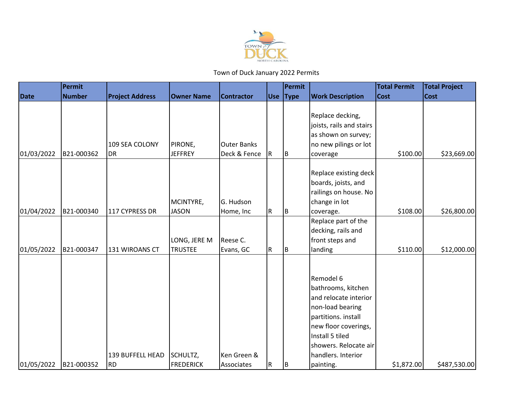

|                          |                          |                                                 |                                                |                                        |                | Permit      |                                                                                                                                                                                                                       | <b>Total Permit</b>    | <b>Total Project</b>        |
|--------------------------|--------------------------|-------------------------------------------------|------------------------------------------------|----------------------------------------|----------------|-------------|-----------------------------------------------------------------------------------------------------------------------------------------------------------------------------------------------------------------------|------------------------|-----------------------------|
| <b>Date</b>              | <b>Number</b>            | <b>Project Address</b>                          | <b>Owner Name</b>                              | <b>Contractor</b>                      | <b>Use</b>     | <b>Type</b> | <b>Work Description</b>                                                                                                                                                                                               | <b>Cost</b>            | <b>Cost</b>                 |
| 01/03/2022               | B21-000362               | 109 SEA COLONY<br><b>DR</b>                     | PIRONE,<br><b>JEFFREY</b>                      | Outer Banks<br>Deck & Fence            | R              | B           | Replace decking,<br>joists, rails and stairs<br>as shown on survey;<br>no new pilings or lot<br>coverage                                                                                                              | \$100.00               | \$23,669.00                 |
| 01/04/2022               | B21-000340               | 117 CYPRESS DR                                  | MCINTYRE,<br><b>JASON</b>                      | G. Hudson<br>Home, Inc                 | ${\sf R}$      | ΙB.         | Replace existing deck<br>boards, joists, and<br>railings on house. No<br>change in lot<br>coverage.                                                                                                                   | \$108.00               | \$26,800.00                 |
|                          |                          |                                                 | LONG, JERE M                                   | Reese C.                               |                |             | Replace part of the<br>decking, rails and<br>front steps and                                                                                                                                                          |                        |                             |
| 01/05/2022<br>01/05/2022 | B21-000347<br>B21-000352 | 131 WIROANS CT<br>139 BUFFELL HEAD<br><b>RD</b> | <b>TRUSTEE</b><br>SCHULTZ,<br><b>FREDERICK</b> | Evans, GC<br>Ken Green &<br>Associates | R<br>${\sf R}$ | Iв.<br>B    | landing<br>Remodel 6<br>bathrooms, kitchen<br>and relocate interior<br>non-load bearing<br>partitions. install<br>new floor coverings,<br>Install 5 tiled<br>showers. Relocate air<br>handlers. Interior<br>painting. | \$110.00<br>\$1,872.00 | \$12,000.00<br>\$487,530.00 |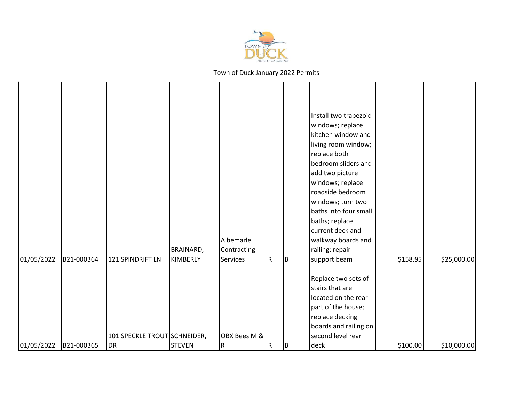

| 01/05/2022 | B21-000364 | 121 SPINDRIFT LN                          | BRAINARD,<br><b>KIMBERLY</b> | Albemarle<br>Contracting<br><b>Services</b> | R. |         | Install two trapezoid<br>windows; replace<br>kitchen window and<br>living room window;<br>replace both<br>bedroom sliders and<br>add two picture<br>windows; replace<br>roadside bedroom<br>windows; turn two<br>baths into four small<br>baths; replace<br>current deck and<br>walkway boards and<br>railing; repair<br>support beam | \$158.95 | \$25,000.00 |
|------------|------------|-------------------------------------------|------------------------------|---------------------------------------------|----|---------|---------------------------------------------------------------------------------------------------------------------------------------------------------------------------------------------------------------------------------------------------------------------------------------------------------------------------------------|----------|-------------|
| 01/05/2022 | B21-000365 | 101 SPECKLE TROUT SCHNEIDER,<br><b>DR</b> | <b>STEVEN</b>                | OBX Bees M &<br>R                           | R. | B<br>ΙB | Replace two sets of<br>stairs that are<br>located on the rear<br>part of the house;<br>replace decking<br>boards and railing on<br>second level rear<br>deck                                                                                                                                                                          | \$100.00 | \$10,000.00 |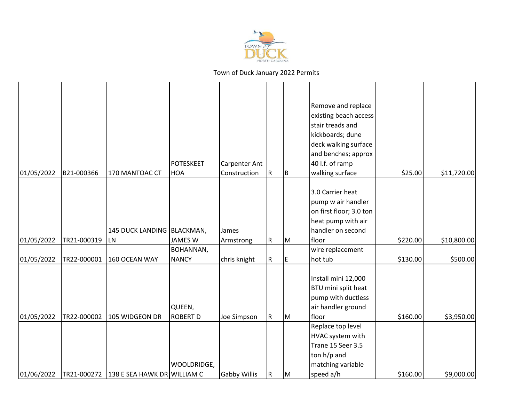

| 01/05/2022 | B21-000366  | 170 MANTOAC CT                          | <b>POTESKEET</b><br><b>HOA</b>   | <b>Carpenter Ant</b><br>Construction | R            | B  | Remove and replace<br>existing beach access<br>stair treads and<br>kickboards; dune<br>deck walking surface<br>and benches; approx<br>40 l.f. of ramp<br>walking surface<br>3.0 Carrier heat | \$25.00  | \$11,720.00 |
|------------|-------------|-----------------------------------------|----------------------------------|--------------------------------------|--------------|----|----------------------------------------------------------------------------------------------------------------------------------------------------------------------------------------------|----------|-------------|
| 01/05/2022 | TR21-000319 | 145 DUCK LANDING BLACKMAN,<br>LN        | <b>JAMES W</b>                   | James<br>Armstrong                   | $\mathsf R$  | M  | pump w air handler<br>on first floor; 3.0 ton<br>heat pump with air<br>handler on second<br>floor                                                                                            | \$220.00 | \$10,800.00 |
| 01/05/2022 | TR22-000001 | 160 OCEAN WAY                           | <b>BOHANNAN,</b><br><b>NANCY</b> | chris knight                         | $\mathsf{R}$ | IΕ | wire replacement<br>hot tub                                                                                                                                                                  | \$130.00 | \$500.00    |
| 01/05/2022 | TR22-000002 | 105 WIDGEON DR                          | QUEEN,<br><b>ROBERT D</b>        | Joe Simpson                          | $\mathsf{R}$ | Iм | Install mini 12,000<br>BTU mini split heat<br>pump with ductless<br>air handler ground<br>floor                                                                                              | \$160.00 | \$3,950.00  |
| 01/06/2022 |             | TR21-000272 138 E SEA HAWK DR WILLIAM C | WOOLDRIDGE,                      | <b>Gabby Willis</b>                  | R            | Iм | Replace top level<br>HVAC system with<br>Trane 15 Seer 3.5<br>ton h/p and<br>matching variable<br>speed a/h                                                                                  | \$160.00 | \$9,000.00  |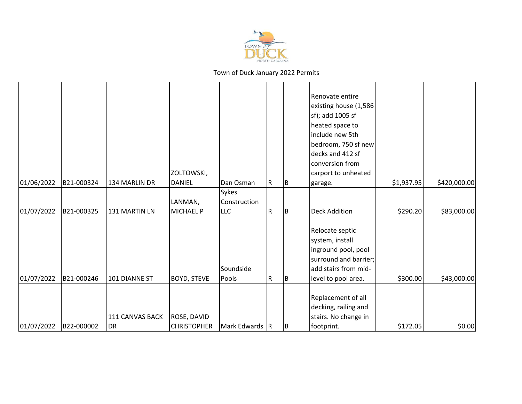

| 01/06/2022 | B21-000324 | 134 MARLIN DR         | ZOLTOWSKI,<br><b>DANIEL</b>              | Dan Osman          | R | IB. | Renovate entire<br>existing house (1,586<br>sf); add 1005 sf<br>heated space to<br>include new 5th<br>bedroom, 750 sf new<br>decks and 412 sf<br>conversion from<br>carport to unheated<br>garage. | \$1,937.95 | \$420,000.00 |
|------------|------------|-----------------------|------------------------------------------|--------------------|---|-----|----------------------------------------------------------------------------------------------------------------------------------------------------------------------------------------------------|------------|--------------|
|            |            |                       |                                          | <b>Sykes</b>       |   |     |                                                                                                                                                                                                    |            |              |
|            |            |                       | LANMAN,                                  | Construction       |   |     |                                                                                                                                                                                                    |            |              |
| 01/07/2022 | B21-000325 | 131 MARTIN LN         | <b>MICHAEL P</b>                         | <b>LLC</b>         | R | Iв. | <b>Deck Addition</b>                                                                                                                                                                               | \$290.20   | \$83,000.00  |
| 01/07/2022 | B21-000246 | 101 DIANNE ST         | <b>BOYD, STEVE</b>                       | Soundside<br>Pools | R | IB. | Relocate septic<br>system, install<br>inground pool, pool<br>surround and barrier;<br>add stairs from mid-<br>level to pool area.                                                                  | \$300.00   | \$43,000.00  |
| 01/07/2022 | B22-000002 | 111 CANVAS BACK<br>DR | <b>ROSE, DAVID</b><br><b>CHRISTOPHER</b> | Mark Edwards R     |   | IB. | Replacement of all<br>decking, railing and<br>stairs. No change in<br>footprint.                                                                                                                   | \$172.05   | \$0.00       |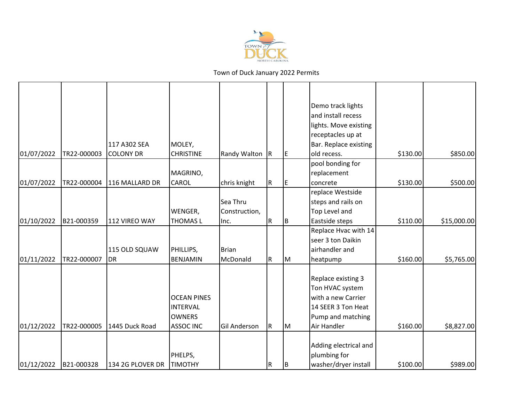

|            |             |                  |                    |               |                         |     | Demo track lights     |          |             |
|------------|-------------|------------------|--------------------|---------------|-------------------------|-----|-----------------------|----------|-------------|
|            |             |                  |                    |               |                         |     | and install recess    |          |             |
|            |             |                  |                    |               |                         |     | lights. Move existing |          |             |
|            |             |                  |                    |               |                         |     | receptacles up at     |          |             |
|            |             | 117 A302 SEA     | MOLEY,             |               |                         |     | Bar. Replace existing |          |             |
| 01/07/2022 | TR22-000003 | <b>COLONY DR</b> | <b>CHRISTINE</b>   | Randy Walton  | $\overline{\mathsf{R}}$ | IE. | old recess.           | \$130.00 | \$850.00    |
|            |             |                  |                    |               |                         |     | pool bonding for      |          |             |
|            |             |                  | MAGRINO,           |               |                         |     | replacement           |          |             |
| 01/07/2022 | TR22-000004 | 116 MALLARD DR   | <b>CAROL</b>       |               | R                       |     | concrete              | \$130.00 | \$500.00    |
|            |             |                  |                    | chris knight  |                         | IE. | replace Westside      |          |             |
|            |             |                  |                    | Sea Thru      |                         |     |                       |          |             |
|            |             |                  |                    |               |                         |     | steps and rails on    |          |             |
|            |             |                  | WENGER,            | Construction, |                         |     | Top Level and         |          |             |
| 01/10/2022 | B21-000359  | 112 VIREO WAY    | <b>THOMASL</b>     | Inc.          | R                       | B   | Eastside steps        | \$110.00 | \$15,000.00 |
|            |             |                  |                    |               |                         |     | Replace Hvac with 14  |          |             |
|            |             |                  |                    |               |                         |     | seer 3 ton Daikin     |          |             |
|            |             | 115 OLD SQUAW    | PHILLIPS,          | <b>Brian</b>  |                         |     | airhandler and        |          |             |
| 01/11/2022 | TR22-000007 | <b>DR</b>        | <b>BENJAMIN</b>    | McDonald      | R                       | lм  | heatpump              | \$160.00 | \$5,765.00  |
|            |             |                  |                    |               |                         |     | Replace existing 3    |          |             |
|            |             |                  |                    |               |                         |     | Ton HVAC system       |          |             |
|            |             |                  | <b>OCEAN PINES</b> |               |                         |     | with a new Carrier    |          |             |
|            |             |                  | <b>INTERVAL</b>    |               |                         |     | 14 SEER 3 Ton Heat    |          |             |
|            |             |                  | <b>OWNERS</b>      |               |                         |     | Pump and matching     |          |             |
| 01/12/2022 | TR22-000005 | 1445 Duck Road   | <b>ASSOC INC</b>   | Gil Anderson  | ${\sf R}$               | lм  | Air Handler           | \$160.00 | \$8,827.00  |
|            |             |                  |                    |               |                         |     |                       |          |             |
|            |             |                  |                    |               |                         |     | Adding electrical and |          |             |
|            |             |                  | PHELPS,            |               |                         |     | plumbing for          |          |             |
| 01/12/2022 | B21-000328  | 134 2G PLOVER DR | <b>TIMOTHY</b>     |               | ${\sf R}$               | IB. | washer/dryer install  | \$100.00 | \$989.00    |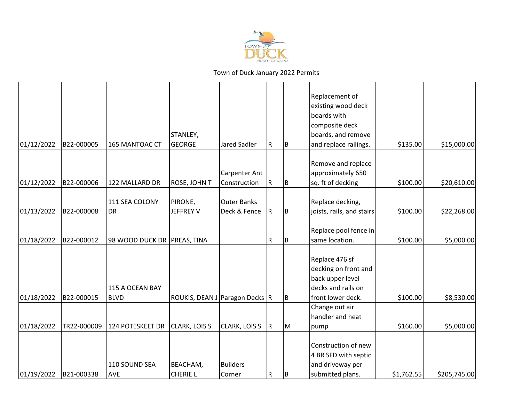

|            |             |                             |                                |                           |             |     | Replacement of<br>existing wood deck<br>boards with<br>composite deck            |            |              |
|------------|-------------|-----------------------------|--------------------------------|---------------------------|-------------|-----|----------------------------------------------------------------------------------|------------|--------------|
|            |             |                             | STANLEY,                       |                           |             |     | boards, and remove                                                               |            |              |
| 01/12/2022 | B22-000005  | 165 MANTOAC CT              | GEORGE                         | <b>Jared Sadler</b>       | $\mathsf R$ | ΙB. | and replace railings.                                                            | \$135.00   | \$15,000.00  |
|            |             |                             |                                | <b>Carpenter Ant</b>      |             |     | Remove and replace<br>approximately 650                                          |            |              |
| 01/12/2022 | B22-000006  | 122 MALLARD DR              | <b>ROSE, JOHN T</b>            | Construction              | $\mathsf R$ | IΒ  | sq. ft of decking                                                                | \$100.00   | \$20,610.00  |
|            |             | 111 SEA COLONY              | PIRONE,                        | <b>Outer Banks</b>        |             |     | Replace decking,                                                                 |            |              |
| 01/13/2022 | B22-000008  | DR                          | <b>JEFFREY V</b>               | Deck & Fence              | $\mathsf R$ | Iв. | joists, rails, and stairs                                                        | \$100.00   | \$22,268.00  |
| 01/18/2022 | B22-000012  | 98 WOOD DUCK DR PREAS, TINA |                                |                           | ${\sf R}$   | Iв  | Replace pool fence in<br>same location.                                          | \$100.00   | \$5,000.00   |
|            |             | 115 A OCEAN BAY             |                                |                           |             |     | Replace 476 sf<br>decking on front and<br>back upper level<br>decks and rails on |            |              |
| 01/18/2022 | B22-000015  | <b>BLVD</b>                 | ROUKIS, DEAN J Paragon Decks R |                           |             | Iв. | front lower deck.                                                                | \$100.00   | \$8,530.00   |
|            |             |                             |                                |                           |             |     | Change out air<br>handler and heat                                               |            |              |
| 01/18/2022 | TR22-000009 | 124 POTESKEET DR            | <b>CLARK, LOIS S</b>           | <b>CLARK, LOIS S</b>      | R.          | IМ  | pump                                                                             | \$160.00   | \$5,000.00   |
|            |             |                             |                                |                           |             |     | Construction of new<br>4 BR SFD with septic                                      |            |              |
| 01/19/2022 | B21-000338  | 110 SOUND SEA<br>AVE        | BEACHAM,<br><b>CHERIE L</b>    | <b>Builders</b><br>Corner | $\mathsf R$ | lв  | and driveway per<br>submitted plans.                                             | \$1,762.55 | \$205,745.00 |
|            |             |                             |                                |                           |             |     |                                                                                  |            |              |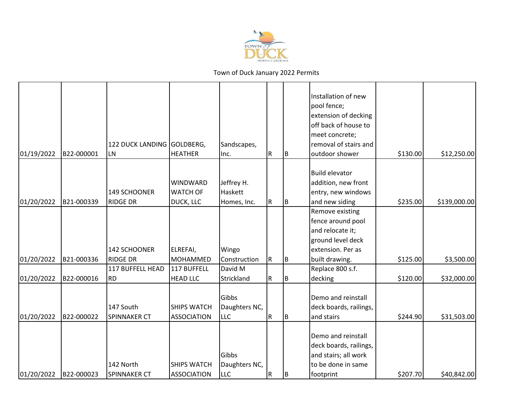

| 01/19/2022 | B22-000001 | 122 DUCK LANDING GOLDBERG,<br>LN | <b>HEATHER</b>                           | Sandscapes,<br>Inc.                  | $\mathsf R$ | ΙB  | Installation of new<br>pool fence;<br>extension of decking<br>off back of house to<br>meet concrete;<br>removal of stairs and<br>outdoor shower | \$130.00 | \$12,250.00  |
|------------|------------|----------------------------------|------------------------------------------|--------------------------------------|-------------|-----|-------------------------------------------------------------------------------------------------------------------------------------------------|----------|--------------|
|            |            | 149 SCHOONER                     | <b>WINDWARD</b><br><b>WATCH OF</b>       | Jeffrey H.<br>Haskett                |             |     | <b>Build elevator</b><br>addition, new front<br>entry, new windows                                                                              |          |              |
| 01/20/2022 | B21-000339 | <b>RIDGE DR</b>                  | DUCK, LLC                                | Homes, Inc.                          | R.          | lв. | and new siding                                                                                                                                  | \$235.00 | \$139,000.00 |
| 01/20/2022 | B21-000336 | 142 SCHOONER<br><b>RIDGE DR</b>  | ELREFAI,<br><b>MOHAMMED</b>              | Wingo<br>Construction                | IR.         | IΒ  | Remove existing<br>fence around pool<br>and relocate it;<br>ground level deck<br>extension. Per as<br>built drawing.                            | \$125.00 | \$3,500.00   |
|            |            | 117 BUFFELL HEAD                 | 117 BUFFELL                              | David M                              |             |     | Replace 800 s.f.                                                                                                                                |          |              |
| 01/20/2022 | B22-000016 | <b>RD</b>                        | <b>HEAD LLC</b>                          | Strickland                           | R           | ΙB  | decking                                                                                                                                         | \$120.00 | \$32,000.00  |
| 01/20/2022 | B22-000022 | 147 South<br><b>SPINNAKER CT</b> | <b>SHIPS WATCH</b><br><b>ASSOCIATION</b> | Gibbs<br>Daughters NC,<br><b>LLC</b> | R           | IΒ  | Demo and reinstall<br>deck boards, railings,<br>and stairs                                                                                      | \$244.90 | \$31,503.00  |
| 01/20/2022 | B22-000023 | 142 North<br><b>SPINNAKER CT</b> | <b>SHIPS WATCH</b><br><b>ASSOCIATION</b> | Gibbs<br>Daughters NC,<br>LLC        | ${\sf R}$   | IΒ  | Demo and reinstall<br>deck boards, railings,<br>and stairs; all work<br>to be done in same<br>footprint                                         | \$207.70 | \$40,842.00  |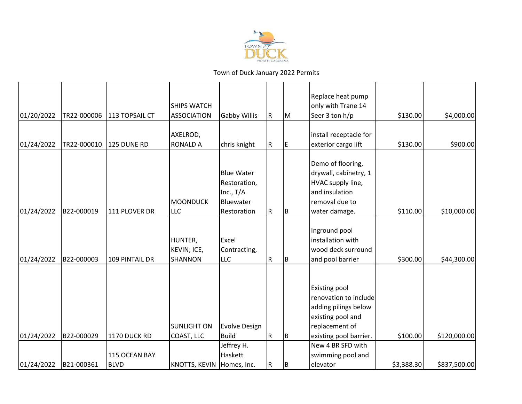

| 01/20/2022 | TR22-000006 | 113 TOPSAIL CT | <b>SHIPS WATCH</b><br><b>ASSOCIATION</b> | <b>Gabby Willis</b>                                                          | R   | Iм  | Replace heat pump<br>only with Trane 14<br>Seer 3 ton h/p                                                                              | \$130.00   | \$4,000.00   |
|------------|-------------|----------------|------------------------------------------|------------------------------------------------------------------------------|-----|-----|----------------------------------------------------------------------------------------------------------------------------------------|------------|--------------|
| 01/24/2022 | TR22-000010 | 125 DUNE RD    | AXELROD,<br><b>RONALD A</b>              | chris knight                                                                 | R   | IE. | install receptacle for<br>exterior cargo lift                                                                                          | \$130.00   | \$900.00     |
| 01/24/2022 | B22-000019  | 111 PLOVER DR  | <b>MOONDUCK</b><br><b>LLC</b>            | <b>Blue Water</b><br>Restoration,<br>Inc., $T/A$<br>Bluewater<br>Restoration | R   | IΒ  | Demo of flooring,<br>drywall, cabinetry, 1<br>HVAC supply line,<br>and insulation<br>removal due to<br>water damage.                   | \$110.00   | \$10,000.00  |
| 01/24/2022 | B22-000003  | 109 PINTAIL DR | HUNTER,<br>KEVIN; ICE,<br><b>SHANNON</b> | Excel<br>Contracting,<br>LLC                                                 | R   | B   | Inground pool<br>installation with<br>wood deck surround<br>and pool barrier                                                           | \$300.00   | \$44,300.00  |
| 01/24/2022 | B22-000029  | 1170 DUCK RD   | <b>SUNLIGHT ON</b><br>COAST, LLC         | <b>Evolve Design</b><br><b>Build</b>                                         | IR. | IΒ  | <b>Existing pool</b><br>renovation to include<br>adding pilings below<br>existing pool and<br>replacement of<br>existing pool barrier. | \$100.00   | \$120,000.00 |
|            |             | 115 OCEAN BAY  |                                          | Jeffrey H.<br>Haskett                                                        |     |     | New 4 BR SFD with<br>swimming pool and                                                                                                 |            |              |
| 01/24/2022 | B21-000361  | <b>BLVD</b>    | KNOTTS, KEVIN Homes, Inc.                |                                                                              | R   | IΒ  | elevator                                                                                                                               | \$3,388.30 | \$837,500.00 |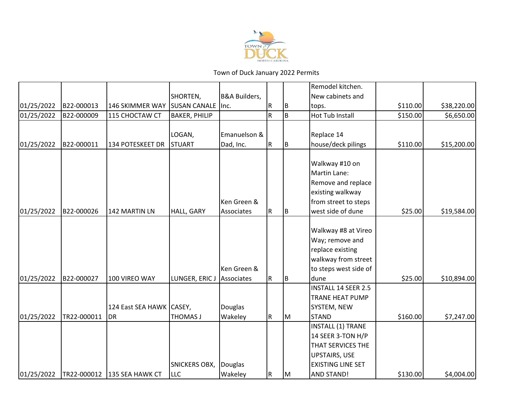

|            |             |                             |                           |                          |             |     | Remodel kitchen.         |          |             |
|------------|-------------|-----------------------------|---------------------------|--------------------------|-------------|-----|--------------------------|----------|-------------|
|            |             |                             | SHORTEN,                  | <b>B&amp;A Builders,</b> |             |     | New cabinets and         |          |             |
| 01/25/2022 | B22-000013  | 146 SKIMMER WAY             | <b>SUSAN CANALE linc.</b> |                          | R           | B   | tops.                    | \$110.00 | \$38,220.00 |
| 01/25/2022 | B22-000009  | 115 CHOCTAW CT              | <b>BAKER, PHILIP</b>      |                          | $\mathsf R$ | B   | <b>Hot Tub Install</b>   | \$150.00 | \$6,650.00  |
|            |             |                             |                           |                          |             |     |                          |          |             |
|            |             |                             | LOGAN,                    | Emanuelson &             |             |     | Replace 14               |          |             |
| 01/25/2022 | B22-000011  | 134 POTESKEET DR            | STUART                    | Dad, Inc.                | ${\sf R}$   | ļВ. | house/deck pilings       | \$110.00 | \$15,200.00 |
|            |             |                             |                           |                          |             |     |                          |          |             |
|            |             |                             |                           |                          |             |     | Walkway #10 on           |          |             |
|            |             |                             |                           |                          |             |     | Martin Lane:             |          |             |
|            |             |                             |                           |                          |             |     | Remove and replace       |          |             |
|            |             |                             |                           |                          |             |     | existing walkway         |          |             |
|            |             |                             |                           | Ken Green &              |             |     | from street to steps     |          |             |
| 01/25/2022 | B22-000026  | 142 MARTIN LN               | HALL, GARY                | Associates               | R           | B   | west side of dune        | \$25.00  | \$19,584.00 |
|            |             |                             |                           |                          |             |     |                          |          |             |
|            |             |                             |                           |                          |             |     | Walkway #8 at Vireo      |          |             |
|            |             |                             |                           |                          |             |     | Way; remove and          |          |             |
|            |             |                             |                           |                          |             |     | replace existing         |          |             |
|            |             |                             |                           |                          |             |     | walkway from street      |          |             |
|            |             |                             |                           | Ken Green &              |             |     | to steps west side of    |          |             |
| 01/25/2022 | B22-000027  | 100 VIREO WAY               | LUNGER, ERIC J            | Associates               | ${\sf R}$   | B   | dune                     | \$25.00  | \$10,894.00 |
|            |             |                             |                           |                          |             |     | INSTALL 14 SEER 2.5      |          |             |
|            |             |                             |                           |                          |             |     | <b>TRANE HEAT PUMP</b>   |          |             |
|            |             | 124 East SEA HAWK CASEY,    |                           | Douglas                  |             |     | SYSTEM, NEW              |          |             |
| 01/25/2022 | TR22-000011 | <b>DR</b>                   | THOMAS J                  | Wakeley                  | R           | M   | <b>STAND</b>             | \$160.00 | \$7,247.00  |
|            |             |                             |                           |                          |             |     | INSTALL (1) TRANE        |          |             |
|            |             |                             |                           |                          |             |     | 14 SEER 3-TON H/P        |          |             |
|            |             |                             |                           |                          |             |     | THAT SERVICES THE        |          |             |
|            |             |                             |                           |                          |             |     | <b>UPSTAIRS, USE</b>     |          |             |
|            |             |                             | <b>SNICKERS OBX,</b>      | Douglas                  |             |     | <b>EXISTING LINE SET</b> |          |             |
| 01/25/2022 |             | TR22-000012 135 SEA HAWK CT | <b>LLC</b>                | Wakeley                  | ${\sf R}$   | lм  | <b>AND STAND!</b>        | \$130.00 | \$4,004.00  |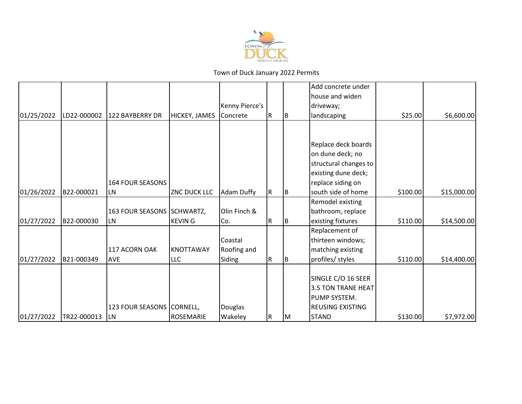

|            |             |                           |                     |                    |     |    | Add concrete under        |          |             |
|------------|-------------|---------------------------|---------------------|--------------------|-----|----|---------------------------|----------|-------------|
|            |             |                           |                     |                    |     |    | house and widen           |          |             |
|            |             |                           |                     | Kenny Pierce's     |     |    | driveway;                 |          |             |
| 01/25/2022 | LD22-000002 | 122 BAYBERRY DR           | HICKEY, JAMES       | Concrete           | IR. | IΒ | landscaping               | \$25.00  | \$6,600.00  |
|            |             |                           |                     |                    |     |    |                           |          |             |
|            |             |                           |                     |                    |     |    |                           |          |             |
|            |             |                           |                     |                    |     |    | Replace deck boards       |          |             |
|            |             |                           |                     |                    |     |    | on dune deck; no          |          |             |
|            |             |                           |                     |                    |     |    | structural changes to     |          |             |
|            |             |                           |                     |                    |     |    | existing dune deck;       |          |             |
|            |             | 164 FOUR SEASONS          |                     |                    |     |    | replace siding on         |          |             |
| 01/26/2022 | B22-000021  | LN                        | <b>ZNC DUCK LLC</b> | Adam Duffy         | IR. | IΒ | south side of home        | \$100.00 | \$15,000.00 |
|            |             |                           |                     |                    |     |    | Remodel existing          |          |             |
|            |             | 163 FOUR SEASONS          | SCHWARTZ,           | Olin Finch &       |     |    | bathroom, replace         |          |             |
| 01/27/2022 | B22-000030  | <b>LN</b>                 | <b>KEVING</b>       | ICo.               | R   | IΒ | existing fixtures         | \$110.00 | \$14,500.00 |
|            |             |                           |                     |                    |     |    | Replacement of            |          |             |
|            |             |                           |                     | Coastal            |     |    | thirteen windows;         |          |             |
|            |             | 117 ACORN OAK             | <b>KNOTTAWAY</b>    | <b>Roofing and</b> |     |    | matching existing         |          |             |
| 01/27/2022 | B21-000349  | <b>AVE</b>                | <b>LLC</b>          | Siding             | R   | IΒ | profiles/ styles          | \$110.00 | \$14,400.00 |
|            |             |                           |                     |                    |     |    |                           |          |             |
|            |             |                           |                     |                    |     |    | SINGLE C/O 16 SEER        |          |             |
|            |             |                           |                     |                    |     |    | <b>3.5 TON TRANE HEAT</b> |          |             |
|            |             |                           |                     |                    |     |    | PUMP SYSTEM.              |          |             |
|            |             | 123 FOUR SEASONS CORNELL, |                     | Douglas            |     |    | <b>REUSING EXISTING</b>   |          |             |
| 01/27/2022 | TR22-000013 | <b>LN</b>                 | <b>ROSEMARIE</b>    | Wakeley            | R   | ΙM | <b>STAND</b>              | \$130.00 | \$7,972.00  |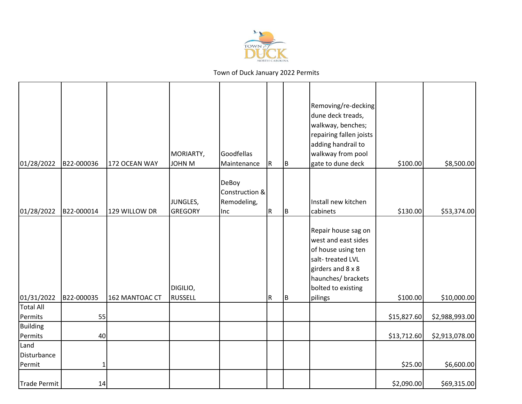

| 01/28/2022                            | B22-000036 | 172 OCEAN WAY  | MORIARTY,<br>JOHN M        | Goodfellas<br>Maintenance                     | $\vert R \vert$ | ļВ. | Removing/re-decking<br>dune deck treads,<br>walkway, benches;<br>repairing fallen joists<br>adding handrail to<br>walkway from pool<br>gate to dune deck         | \$100.00                   | \$8,500.00                       |
|---------------------------------------|------------|----------------|----------------------------|-----------------------------------------------|-----------------|-----|------------------------------------------------------------------------------------------------------------------------------------------------------------------|----------------------------|----------------------------------|
| 01/28/2022                            | B22-000014 | 129 WILLOW DR  | JUNGLES,<br><b>GREGORY</b> | DeBoy<br>Construction &<br>Remodeling,<br>Inc | R               | Iв. | Install new kitchen<br>cabinets                                                                                                                                  | \$130.00                   | \$53,374.00                      |
| 01/31/2022                            | B22-000035 | 162 MANTOAC CT | DIGILIO,<br>RUSSELL        |                                               | ${\sf R}$       | Iв. | Repair house sag on<br>west and east sides<br>of house using ten<br>salt-treated LVL<br>girders and 8 x 8<br>haunches/ brackets<br>bolted to existing<br>pilings | \$100.00                   | \$10,000.00                      |
| <b>Total All</b>                      |            |                |                            |                                               |                 |     |                                                                                                                                                                  |                            |                                  |
| Permits<br><b>Building</b><br>Permits | 55<br>40   |                |                            |                                               |                 |     |                                                                                                                                                                  | \$15,827.60<br>\$13,712.60 | \$2,988,993.00<br>\$2,913,078.00 |
| Land<br>Disturbance<br>Permit         | 1          |                |                            |                                               |                 |     |                                                                                                                                                                  | \$25.00                    | \$6,600.00                       |
| Trade Permit                          | 14         |                |                            |                                               |                 |     |                                                                                                                                                                  | \$2,090.00                 | \$69,315.00                      |